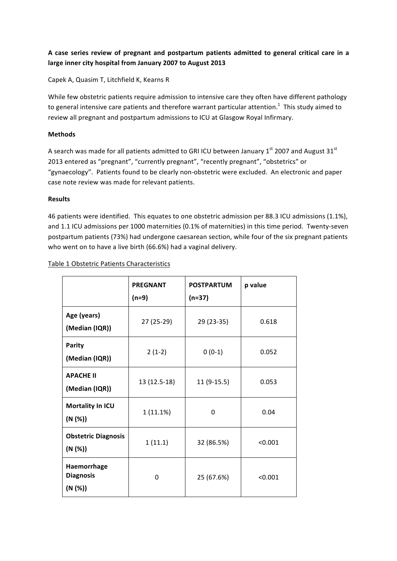## A case series review of pregnant and postpartum patients admitted to general critical care in a large inner city hospital from January 2007 to August 2013

Capek A, Quasim T, Litchfield K, Kearns R

While few obstetric patients require admission to intensive care they often have different pathology to general intensive care patients and therefore warrant particular attention.<sup>1</sup> This study aimed to review all pregnant and postpartum admissions to ICU at Glasgow Royal Infirmary.

## **Methods**

A search was made for all patients admitted to GRI ICU between January  $1<sup>st</sup>$  2007 and August  $31<sup>st</sup>$ 2013 entered as "pregnant", "currently pregnant", "recently pregnant", "obstetrics" or "gynaecology". Patients found to be clearly non-obstetric were excluded. An electronic and paper case note review was made for relevant patients.

## **Results**

46 patients were identified. This equates to one obstetric admission per 88.3 ICU admissions (1.1%), and 1.1 ICU admissions per 1000 maternities (0.1% of maternities) in this time period. Twenty-seven postpartum patients (73%) had undergone caesarean section, while four of the six pregnant patients who went on to have a live birth (66.6%) had a vaginal delivery.

|  |  |  |  | Table 1 Obstetric Patients Characteristics |
|--|--|--|--|--------------------------------------------|
|--|--|--|--|--------------------------------------------|

|                                            | <b>PREGNANT</b><br>$(n=9)$ | <b>POSTPARTUM</b><br>$(n=37)$ | p value |
|--------------------------------------------|----------------------------|-------------------------------|---------|
| Age (years)<br>(Median (IQR))              | 27 (25-29)                 | 29 (23-35)                    | 0.618   |
| <b>Parity</b><br>(Median (IQR))            | $2(1-2)$                   | $0(0-1)$                      | 0.052   |
| <b>APACHE II</b><br>(Median (IQR))         | 13 (12.5-18)               | $11(9-15.5)$                  | 0.053   |
| Mortality In ICU<br>(N (%))                | 1(11.1%)                   | 0                             | 0.04    |
| <b>Obstetric Diagnosis</b><br>(N (%))      | 1(11.1)                    | 32 (86.5%)                    | < 0.001 |
| Haemorrhage<br><b>Diagnosis</b><br>(N (%)) | 0                          | 25 (67.6%)                    | < 0.001 |